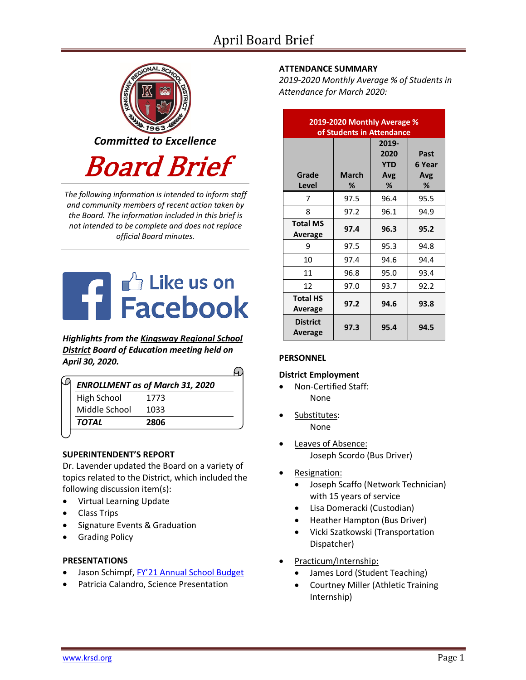# April Board Brief



*The following information is intended to inform staff and community members of recent action taken by the Board. The information included in this brief is not intended to be complete and does not replace official Board minutes.*



*Highlights from the Kingsway Regional School District Board of Education meeting held on April 30, 2020.*

| <b>ENROLLMENT as of March 31, 2020</b> |      |  |
|----------------------------------------|------|--|
| <b>High School</b>                     | 1773 |  |
| Middle School                          | 1033 |  |
| TOTAL                                  | 2806 |  |

# **SUPERINTENDENT'S REPORT**

Dr. Lavender updated the Board on a variety of topics related to the District, which included the following discussion item(s):

- Virtual Learning Update
- Class Trips
- Signature Events & Graduation
- Grading Policy

# **PRESENTATIONS**

- Jason Schimpf, FY'21 Annual School Budget
- Patricia Calandro, Science Presentation

# **ATTENDANCE SUMMARY**

*2019-2020 Monthly Average % of Students in Attendance for March 2020:*

| 2019-2020 Monthly Average %<br>of Students in Attendance |                   |                                         |                            |  |
|----------------------------------------------------------|-------------------|-----------------------------------------|----------------------------|--|
| Grade<br><b>Level</b>                                    | <b>March</b><br>℅ | 2019-<br>2020<br><b>YTD</b><br>Avg<br>% | Past<br>6 Year<br>Avg<br>% |  |
| 7                                                        | 97.5              | 96.4                                    | 95.5                       |  |
| 8                                                        | 97.2              | 96.1                                    | 94.9                       |  |
| <b>Total MS</b><br>Average                               | 97.4              | 96.3                                    | 95.2                       |  |
| 9                                                        | 97.5              | 95.3                                    | 94.8                       |  |
| 10                                                       | 97.4              | 94.6                                    | 94.4                       |  |
| 11                                                       | 96.8              | 95.0                                    | 93.4                       |  |
| 12                                                       | 97.0              | 93.7                                    | 92.2                       |  |
| <b>Total HS</b><br>Average                               | 97.2              | 94.6                                    | 93.8                       |  |
| <b>District</b><br>Average                               | 97.3              | 95.4                                    | 94.5                       |  |

# **PERSONNEL**

# **District Employment**

- Non-Certified Staff: None
- Substitutes: None
- Leaves of Absence: Joseph Scordo (Bus Driver)
- Resignation:
	- Joseph Scaffo (Network Technician) with 15 years of service
	- Lisa Domeracki (Custodian)
	- Heather Hampton (Bus Driver)
	- Vicki Szatkowski (Transportation Dispatcher)
- Practicum/Internship:
	- James Lord (Student Teaching)
	- Courtney Miller (Athletic Training Internship)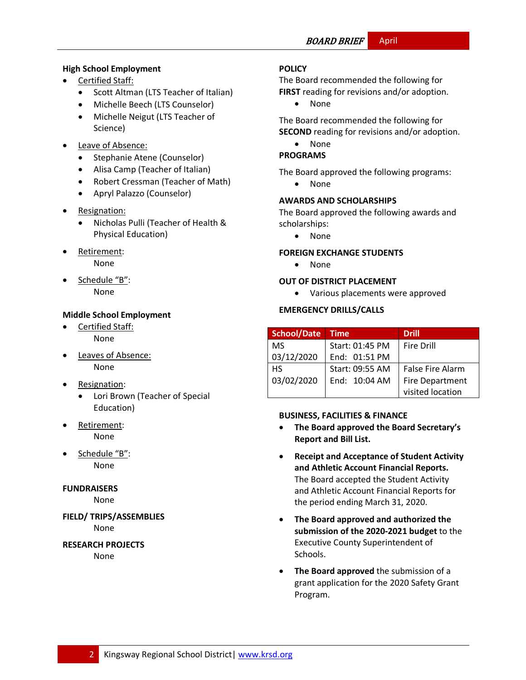# **High School Employment**

- Certified Staff:
	- Scott Altman (LTS Teacher of Italian)
	- Michelle Beech (LTS Counselor)
	- Michelle Neigut (LTS Teacher of Science)
- Leave of Absence:
	- Stephanie Atene (Counselor)
	- Alisa Camp (Teacher of Italian)
	- Robert Cressman (Teacher of Math)
	- Apryl Palazzo (Counselor)
- Resignation:
	- Nicholas Pulli (Teacher of Health & Physical Education)
- Retirement: None
- Schedule "B": None

# **Middle School Employment**

- Certified Staff: None
- Leaves of Absence: None
- Resignation:
	- Lori Brown (Teacher of Special Education)
- Retirement: None
- Schedule "B":

None

# **FUNDRAISERS**

None

**FIELD/ TRIPS/ASSEMBLIES**

None

#### **RESEARCH PROJECTS** None

# **POLICY**

The Board recommended the following for **FIRST** reading for revisions and/or adoption.

• None

The Board recommended the following for **SECOND** reading for revisions and/or adoption.

- None
- **PROGRAMS**

The Board approved the following programs:

• None

# **AWARDS AND SCHOLARSHIPS**

The Board approved the following awards and scholarships:

• None

# **FOREIGN EXCHANGE STUDENTS**

• None

# **OUT OF DISTRICT PLACEMENT**

• Various placements were approved

# **EMERGENCY DRILLS/CALLS**

| <b>School/Date</b> | <b>Time</b>     | <b>Drill</b>            |
|--------------------|-----------------|-------------------------|
| MS                 | Start: 01:45 PM | <b>Fire Drill</b>       |
| 03/12/2020         | End: 01:51 PM   |                         |
| НS                 | Start: 09:55 AM | <b>False Fire Alarm</b> |
| 03/02/2020         | End: 10:04 AM   | <b>Fire Department</b>  |
|                    |                 | visited location        |

# **BUSINESS, FACILITIES & FINANCE**

- **The Board approved the Board Secretary's Report and Bill List.**
- **Receipt and Acceptance of Student Activity and Athletic Account Financial Reports.**  The Board accepted the Student Activity and Athletic Account Financial Reports for the period ending March 31, 2020.
- **The Board approved and authorized the submission of the 2020-2021 budget** to the Executive County Superintendent of Schools.
- **The Board approved** the submission of a grant application for the 2020 Safety Grant Program.